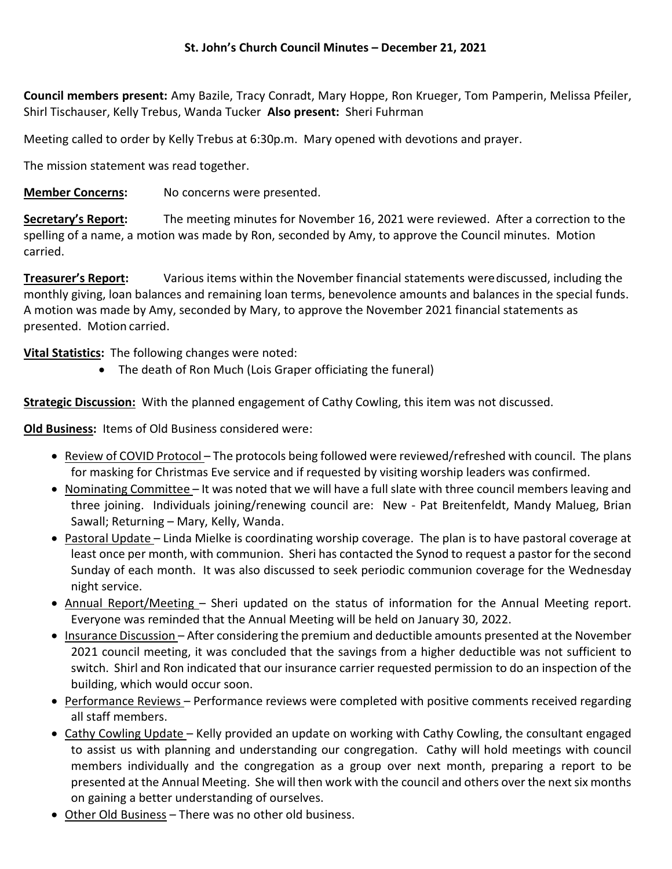Council members present: Amy Bazile, Tracy Conradt, Mary Hoppe, Ron Krueger, Tom Pamperin, Melissa Pfeiler, Shirl Tischauser, Kelly Trebus, Wanda Tucker Also present: Sheri Fuhrman

Meeting called to order by Kelly Trebus at 6:30p.m. Mary opened with devotions and prayer.

The mission statement was read together.

**Member Concerns:** No concerns were presented.

Secretary's Report: The meeting minutes for November 16, 2021 were reviewed. After a correction to the spelling of a name, a motion was made by Ron, seconded by Amy, to approve the Council minutes. Motion carried.

**Treasurer's Report:** Various items within the November financial statements were discussed, including the monthly giving, loan balances and remaining loan terms, benevolence amounts and balances in the special funds. A motion was made by Amy, seconded by Mary, to approve the November 2021 financial statements as presented. Motion carried.

Vital Statistics: The following changes were noted:

The death of Ron Much (Lois Graper officiating the funeral)

**Strategic Discussion:** With the planned engagement of Cathy Cowling, this item was not discussed.

Old Business: Items of Old Business considered were:

- Review of COVID Protocol The protocols being followed were reviewed/refreshed with council. The plans for masking for Christmas Eve service and if requested by visiting worship leaders was confirmed.
- Nominating Committee It was noted that we will have a full slate with three council members leaving and three joining. Individuals joining/renewing council are: New - Pat Breitenfeldt, Mandy Malueg, Brian Sawall; Returning – Mary, Kelly, Wanda.
- Pastoral Update Linda Mielke is coordinating worship coverage. The plan is to have pastoral coverage at least once per month, with communion. Sheri has contacted the Synod to request a pastor for the second Sunday of each month. It was also discussed to seek periodic communion coverage for the Wednesday night service.
- Annual Report/Meeting Sheri updated on the status of information for the Annual Meeting report. Everyone was reminded that the Annual Meeting will be held on January 30, 2022.
- Insurance Discussion After considering the premium and deductible amounts presented at the November 2021 council meeting, it was concluded that the savings from a higher deductible was not sufficient to switch. Shirl and Ron indicated that our insurance carrier requested permission to do an inspection of the building, which would occur soon.
- Performance Reviews Performance reviews were completed with positive comments received regarding all staff members.
- Cathy Cowling Update Kelly provided an update on working with Cathy Cowling, the consultant engaged to assist us with planning and understanding our congregation. Cathy will hold meetings with council members individually and the congregation as a group over next month, preparing a report to be presented at the Annual Meeting. She will then work with the council and others over the next six months on gaining a better understanding of ourselves.
- Other Old Business There was no other old business.